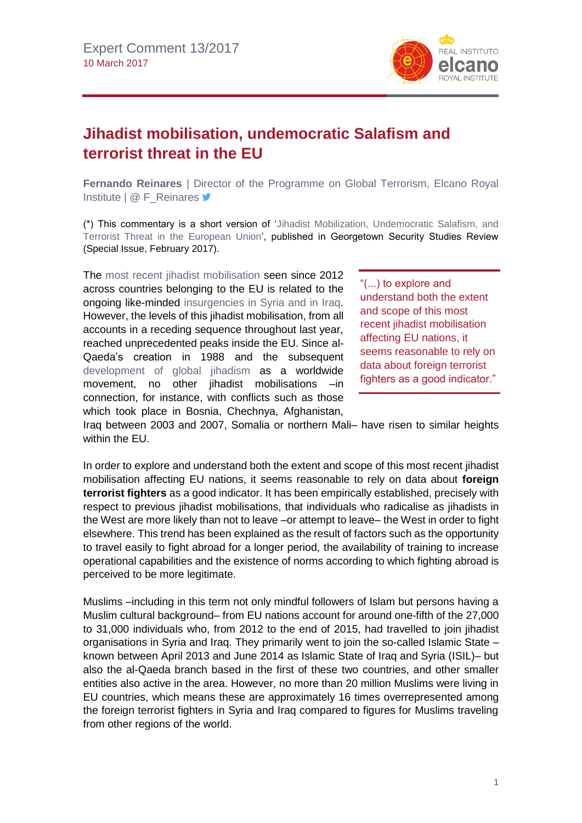

## **Jihadist mobilisation, undemocratic Salafism and terrorist threat in the EU**

**Fernando Reinares** | Director of the Programme on Global Terrorism, Elcano Royal Institute | @ F\_Reinares <del>■</del>

(\*) This commentary is a short version of ['Jihadist Mobilization, Undemocratic Salafism, and](http://georgetownsecuritystudiesreview.org/wp-content/uploads/2017/02/GSSR-What-the-New-Administration-Needs-to-Know-About-Terrorism-and-Counterterrorism.pdf)  [Terrorist Threat in the European Union',](http://georgetownsecuritystudiesreview.org/wp-content/uploads/2017/02/GSSR-What-the-New-Administration-Needs-to-Know-About-Terrorism-and-Counterterrorism.pdf) published in Georgetown Security Studies Review (Special Issue, February 2017).

The [most recent jihadist mobilisation](http://www.realinstitutoelcano.org/wps/portal/rielcano_en/contenido?WCM_GLOBAL_CONTEXT=/elcano/elcano_in/zonas_in//reinares-how-to-counter-jihadist-appeal-among-western-european-muslims) seen since 2012 across countries belonging to the EU is related to the ongoing like-minded [insurgencies in Syria and in Iraq.](http://www.realinstitutoelcano.org/wps/portal/rielcano_en/contenido?WCM_GLOBAL_CONTEXT=/elcano/elcano_in/zonas_in/ari4-2015-moghadam-interplay-between-terrorism-insurgency-and-civil-war-middle-east) However, the levels of this jihadist mobilisation, from all accounts in a receding sequence throughout last year, reached unprecedented peaks inside the EU. Since al-Qaeda's creation in 1988 and the subsequent [development of global jihadism a](http://www.realinstitutoelcano.org/wps/portal/rielcano_en/contenido?WCM_GLOBAL_CONTEXT=/elcano/elcano_in/zonas_in/commentary-reinares-making-sense-of-global-terrorism-now)s a worldwide movement, no other jihadist mobilisations –in connection, for instance, with conflicts such as those which took place in Bosnia, Chechnya, Afghanistan,

"(...) to explore and understand both the extent and scope of this most recent jihadist mobilisation affecting EU nations, it seems reasonable to rely on data about foreign terrorist fighters as a good indicator."

Iraq between 2003 and 2007, Somalia or northern Mali– have risen to similar heights within the EU.

In order to explore and understand both the extent and scope of this most recent jihadist mobilisation affecting EU nations, it seems reasonable to rely on data about **foreign terrorist fighters** as a good indicator. It has been empirically established, precisely with respect to previous jihadist mobilisations, that individuals who radicalise as jihadists in the West are more likely than not to leave –or attempt to leave– the West in order to fight elsewhere. This trend has been explained as the result of factors such as the opportunity to travel easily to fight abroad for a longer period, the availability of training to increase operational capabilities and the existence of norms according to which fighting abroad is perceived to be more legitimate.

Muslims –including in this term not only mindful followers of Islam but persons having a Muslim cultural background– from EU nations account for around one-fifth of the 27,000 to 31,000 individuals who, from 2012 to the end of 2015, had travelled to join jihadist organisations in Syria and Iraq. They primarily went to join the so-called Islamic State – known between April 2013 and June 2014 as Islamic State of Iraq and Syria (ISIL)– but also the al-Qaeda branch based in the first of these two countries, and other smaller entities also active in the area. However, no more than 20 million Muslims were living in EU countries, which means these are approximately 16 times overrepresented among the foreign terrorist fighters in Syria and Iraq compared to figures for Muslims traveling from other regions of the world.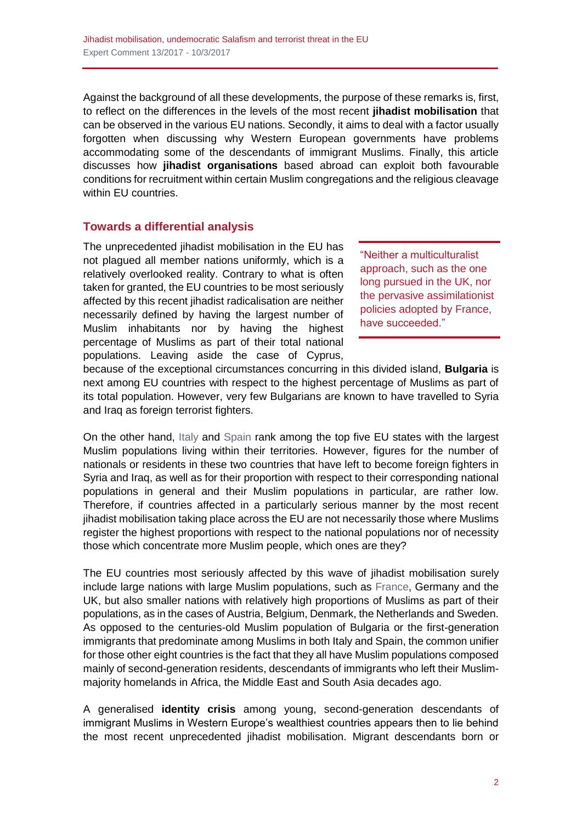Against the background of all these developments, the purpose of these remarks is, first, to reflect on the differences in the levels of the most recent **jihadist mobilisation** that can be observed in the various EU nations. Secondly, it aims to deal with a factor usually forgotten when discussing why Western European governments have problems accommodating some of the descendants of immigrant Muslims. Finally, this article discusses how **jihadist organisations** based abroad can exploit both favourable conditions for recruitment within certain Muslim congregations and the religious cleavage within EU countries.

## **Towards a differential analysis**

The unprecedented jihadist mobilisation in the EU has not plagued all member nations uniformly, which is a relatively overlooked reality. Contrary to what is often taken for granted, the EU countries to be most seriously affected by this recent jihadist radicalisation are neither necessarily defined by having the largest number of Muslim inhabitants nor by having the highest percentage of Muslims as part of their total national populations. Leaving aside the case of Cyprus,

"Neither a multiculturalist approach, such as the one long pursued in the UK, nor the pervasive assimilationist policies adopted by France, have succeeded."

because of the exceptional circumstances concurring in this divided island, **Bulgaria** is next among EU countries with respect to the highest percentage of Muslims as part of its total population. However, very few Bulgarians are known to have travelled to Syria and Iraq as foreign terrorist fighters.

On the other hand, [Italy](http://www.realinstitutoelcano.org/wps/portal/rielcano_en/contenido?WCM_GLOBAL_CONTEXT=/elcano/elcano_in/zonas_in/ari9-2014-vidino-development-home-grown-jihadist-radicalisation-italy) and [Spain](http://www.realinstitutoelcano.org/wps/portal/rielcano_en/contenido?WCM_GLOBAL_CONTEXT=/elcano/elcano_in/zonas_in/garciacalvo-reinares-patterns-involvement-individuals-arrested-islamic-state-terrorist-activities-spain) rank among the top five EU states with the largest Muslim populations living within their territories. However, figures for the number of nationals or residents in these two countries that have left to become foreign fighters in Syria and Iraq, as well as for their proportion with respect to their corresponding national populations in general and their Muslim populations in particular, are rather low. Therefore, if countries affected in a particularly serious manner by the most recent jihadist mobilisation taking place across the EU are not necessarily those where Muslims register the highest proportions with respect to the national populations nor of necessity those which concentrate more Muslim people, which ones are they?

The EU countries most seriously affected by this wave of jihadist mobilisation surely include large nations with large Muslim populations, such as [France,](http://www.realinstitutoelcano.org/wps/portal/rielcano_en/contenido?WCM_GLOBAL_CONTEXT=/elcano/elcano_in/zonas_in/ari25-2014-migaux-jihadist-threat-france-interests-abroad) Germany and the UK, but also smaller nations with relatively high proportions of Muslims as part of their populations, as in the cases of Austria, Belgium, Denmark, the Netherlands and Sweden. As opposed to the centuries-old Muslim population of Bulgaria or the first-generation immigrants that predominate among Muslims in both Italy and Spain, the common unifier for those other eight countries is the fact that they all have Muslim populations composed mainly of second-generation residents, descendants of immigrants who left their Muslimmajority homelands in Africa, the Middle East and South Asia decades ago.

A generalised **identity crisis** among young, second-generation descendants of immigrant Muslims in Western Europe's wealthiest countries appears then to lie behind the most recent unprecedented jihadist mobilisation. Migrant descendants born or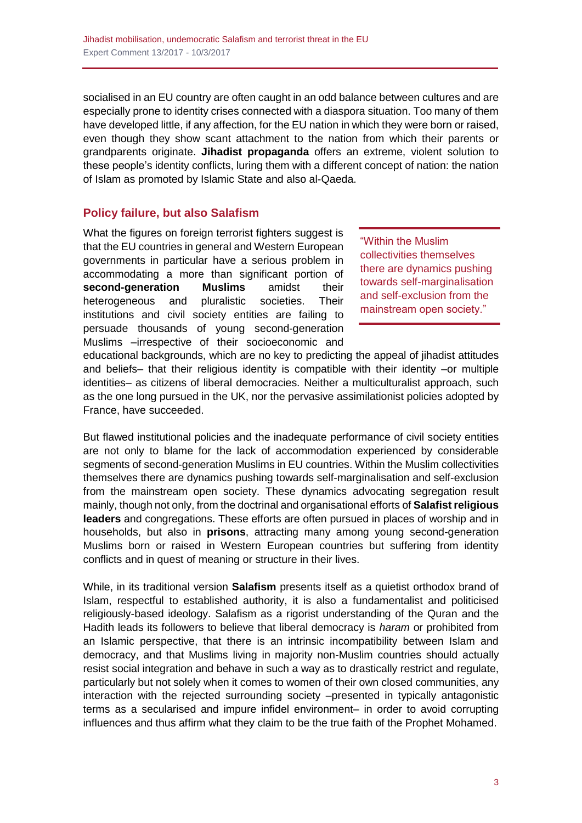socialised in an EU country are often caught in an odd balance between cultures and are especially prone to identity crises connected with a diaspora situation. Too many of them have developed little, if any affection, for the EU nation in which they were born or raised, even though they show scant attachment to the nation from which their parents or grandparents originate. **Jihadist propaganda** offers an extreme, violent solution to these people's identity conflicts, luring them with a different concept of nation: the nation of Islam as promoted by Islamic State and also al-Qaeda.

## **Policy failure, but also Salafism**

What the figures on foreign terrorist fighters suggest is that the EU countries in general and Western European governments in particular have a serious problem in accommodating a more than significant portion of **second-generation Muslims** amidst their heterogeneous and pluralistic societies. Their institutions and civil society entities are failing to persuade thousands of young second-generation Muslims –irrespective of their socioeconomic and

"Within the Muslim collectivities themselves there are dynamics pushing towards self-marginalisation and self-exclusion from the mainstream open society."

educational backgrounds, which are no key to predicting the appeal of jihadist attitudes and beliefs– that their religious identity is compatible with their identity –or multiple identities– as citizens of liberal democracies. Neither a multiculturalist approach, such as the one long pursued in the UK, nor the pervasive assimilationist policies adopted by France, have succeeded.

But flawed institutional policies and the inadequate performance of civil society entities are not only to blame for the lack of accommodation experienced by considerable segments of second-generation Muslims in EU countries. Within the Muslim collectivities themselves there are dynamics pushing towards self-marginalisation and self-exclusion from the mainstream open society. These dynamics advocating segregation result mainly, though not only, from the doctrinal and organisational efforts of **Salafist religious leaders** and congregations. These efforts are often pursued in places of worship and in households, but also in **prisons**, attracting many among young second-generation Muslims born or raised in Western European countries but suffering from identity conflicts and in quest of meaning or structure in their lives.

While, in its traditional version **Salafism** presents itself as a quietist orthodox brand of Islam, respectful to established authority, it is also a fundamentalist and politicised religiously-based ideology. Salafism as a rigorist understanding of the Quran and the Hadith leads its followers to believe that liberal democracy is *haram* or prohibited from an Islamic perspective, that there is an intrinsic incompatibility between Islam and democracy, and that Muslims living in majority non-Muslim countries should actually resist social integration and behave in such a way as to drastically restrict and regulate, particularly but not solely when it comes to women of their own closed communities, any interaction with the rejected surrounding society –presented in typically antagonistic terms as a secularised and impure infidel environment– in order to avoid corrupting influences and thus affirm what they claim to be the true faith of the Prophet Mohamed.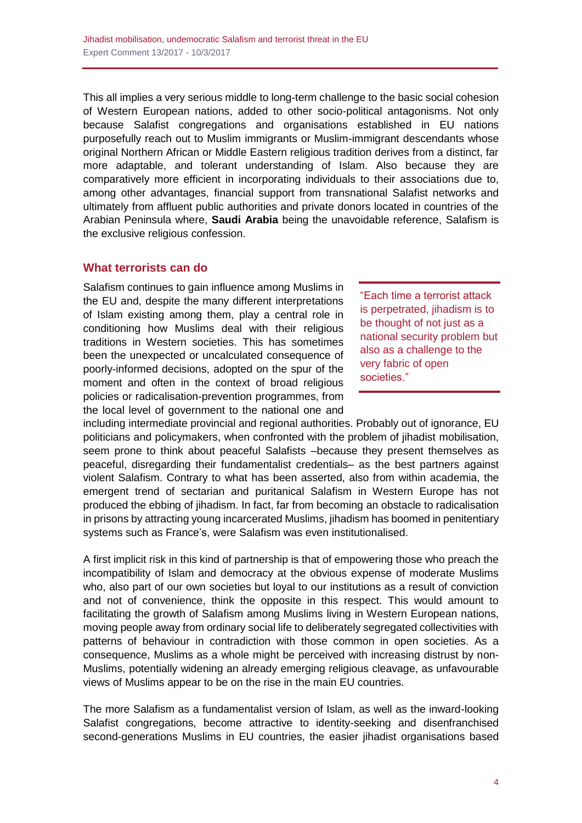This all implies a very serious middle to long-term challenge to the basic social cohesion of Western European nations, added to other socio-political antagonisms. Not only because Salafist congregations and organisations established in EU nations purposefully reach out to Muslim immigrants or Muslim-immigrant descendants whose original Northern African or Middle Eastern religious tradition derives from a distinct, far more adaptable, and tolerant understanding of Islam. Also because they are comparatively more efficient in incorporating individuals to their associations due to, among other advantages, financial support from transnational Salafist networks and ultimately from affluent public authorities and private donors located in countries of the Arabian Peninsula where, **Saudi Arabia** being the unavoidable reference, Salafism is the exclusive religious confession.

## **What terrorists can do**

Salafism continues to gain influence among Muslims in the EU and, despite the many different interpretations of Islam existing among them, play a central role in conditioning how Muslims deal with their religious traditions in Western societies. This has sometimes been the unexpected or uncalculated consequence of poorly-informed decisions, adopted on the spur of the moment and often in the context of broad religious policies or radicalisation-prevention programmes, from the local level of government to the national one and

"Each time a terrorist attack is perpetrated, jihadism is to be thought of not just as a national security problem but also as a challenge to the very fabric of open societies."

including intermediate provincial and regional authorities. Probably out of ignorance, EU politicians and policymakers, when confronted with the problem of jihadist mobilisation, seem prone to think about peaceful Salafists –because they present themselves as peaceful, disregarding their fundamentalist credentials– as the best partners against violent Salafism. Contrary to what has been asserted, also from within academia, the emergent trend of sectarian and puritanical Salafism in Western Europe has not produced the ebbing of jihadism. In fact, far from becoming an obstacle to radicalisation in prisons by attracting young incarcerated Muslims, jihadism has boomed in penitentiary systems such as France's, were Salafism was even institutionalised.

A first implicit risk in this kind of partnership is that of empowering those who preach the incompatibility of Islam and democracy at the obvious expense of moderate Muslims who, also part of our own societies but loyal to our institutions as a result of conviction and not of convenience, think the opposite in this respect. This would amount to facilitating the growth of Salafism among Muslims living in Western European nations, moving people away from ordinary social life to deliberately segregated collectivities with patterns of behaviour in contradiction with those common in open societies. As a consequence, Muslims as a whole might be perceived with increasing distrust by non-Muslims, potentially widening an already emerging religious cleavage, as unfavourable views of Muslims appear to be on the rise in the main EU countries.

The more Salafism as a fundamentalist version of Islam, as well as the inward-looking Salafist congregations, become attractive to identity-seeking and disenfranchised second-generations Muslims in EU countries, the easier jihadist organisations based